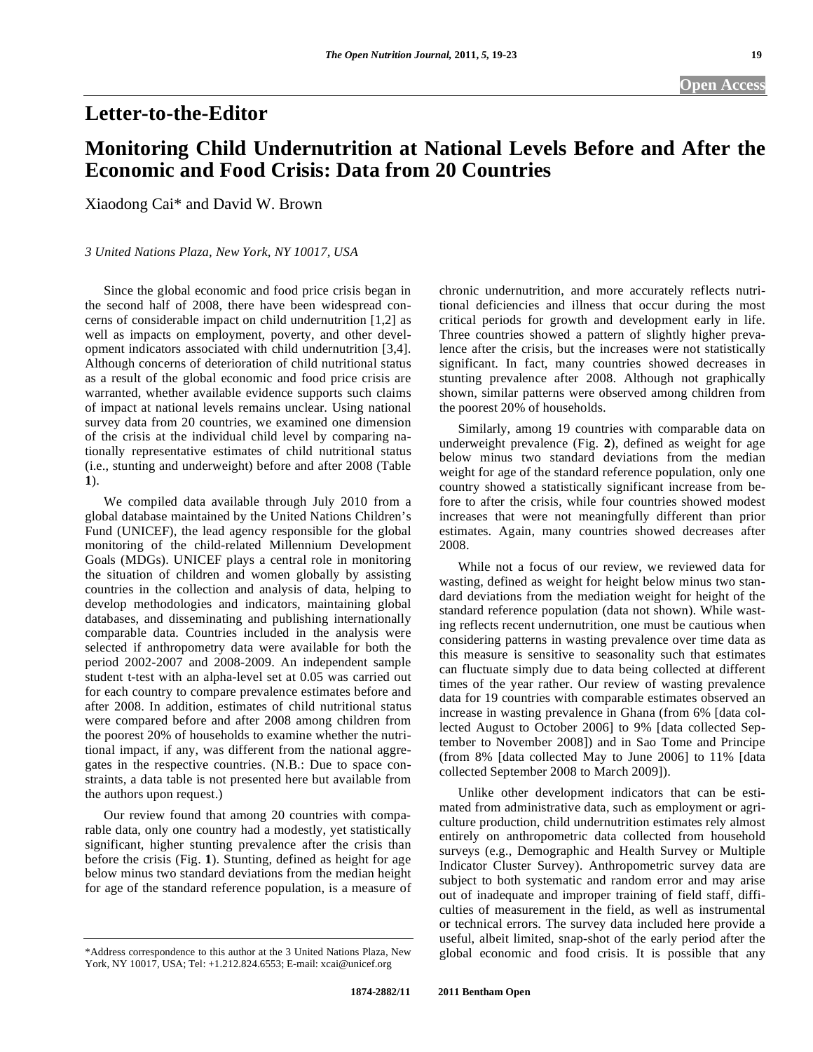## **Letter-to-the-Editor**

## **Monitoring Child Undernutrition at National Levels Before and After the Economic and Food Crisis: Data from 20 Countries**

Xiaodong Cai\* and David W. Brown

## *3 United Nations Plaza, New York, NY 10017, USA*

Since the global economic and food price crisis began in the second half of 2008, there have been widespread concerns of considerable impact on child undernutrition [1,2] as well as impacts on employment, poverty, and other development indicators associated with child undernutrition [3,4]. Although concerns of deterioration of child nutritional status as a result of the global economic and food price crisis are warranted, whether available evidence supports such claims of impact at national levels remains unclear. Using national survey data from 20 countries, we examined one dimension of the crisis at the individual child level by comparing nationally representative estimates of child nutritional status (i.e., stunting and underweight) before and after 2008 (Table **1**).

 We compiled data available through July 2010 from a global database maintained by the United Nations Children's Fund (UNICEF), the lead agency responsible for the global monitoring of the child-related Millennium Development Goals (MDGs). UNICEF plays a central role in monitoring the situation of children and women globally by assisting countries in the collection and analysis of data, helping to develop methodologies and indicators, maintaining global databases, and disseminating and publishing internationally comparable data. Countries included in the analysis were selected if anthropometry data were available for both the period 2002-2007 and 2008-2009. An independent sample student t-test with an alpha-level set at 0.05 was carried out for each country to compare prevalence estimates before and after 2008. In addition, estimates of child nutritional status were compared before and after 2008 among children from the poorest 20% of households to examine whether the nutritional impact, if any, was different from the national aggregates in the respective countries. (N.B.: Due to space constraints, a data table is not presented here but available from the authors upon request.)

 Our review found that among 20 countries with comparable data, only one country had a modestly, yet statistically significant, higher stunting prevalence after the crisis than before the crisis (Fig. **1**). Stunting, defined as height for age below minus two standard deviations from the median height for age of the standard reference population, is a measure of chronic undernutrition, and more accurately reflects nutritional deficiencies and illness that occur during the most critical periods for growth and development early in life. Three countries showed a pattern of slightly higher prevalence after the crisis, but the increases were not statistically significant. In fact, many countries showed decreases in stunting prevalence after 2008. Although not graphically shown, similar patterns were observed among children from the poorest 20% of households.

 Similarly, among 19 countries with comparable data on underweight prevalence (Fig. **2**), defined as weight for age below minus two standard deviations from the median weight for age of the standard reference population, only one country showed a statistically significant increase from before to after the crisis, while four countries showed modest increases that were not meaningfully different than prior estimates. Again, many countries showed decreases after 2008.

 While not a focus of our review, we reviewed data for wasting, defined as weight for height below minus two standard deviations from the mediation weight for height of the standard reference population (data not shown). While wasting reflects recent undernutrition, one must be cautious when considering patterns in wasting prevalence over time data as this measure is sensitive to seasonality such that estimates can fluctuate simply due to data being collected at different times of the year rather. Our review of wasting prevalence data for 19 countries with comparable estimates observed an increase in wasting prevalence in Ghana (from 6% [data collected August to October 2006] to 9% [data collected September to November 2008]) and in Sao Tome and Principe (from 8% [data collected May to June 2006] to 11% [data collected September 2008 to March 2009]).

 Unlike other development indicators that can be estimated from administrative data, such as employment or agriculture production, child undernutrition estimates rely almost entirely on anthropometric data collected from household surveys (e.g., Demographic and Health Survey or Multiple Indicator Cluster Survey). Anthropometric survey data are subject to both systematic and random error and may arise out of inadequate and improper training of field staff, difficulties of measurement in the field, as well as instrumental or technical errors. The survey data included here provide a useful, albeit limited, snap-shot of the early period after the global economic and food crisis. It is possible that any

<sup>\*</sup>Address correspondence to this author at the 3 United Nations Plaza, New York, NY 10017, USA; Tel: +1.212.824.6553; E-mail: xcai@unicef.org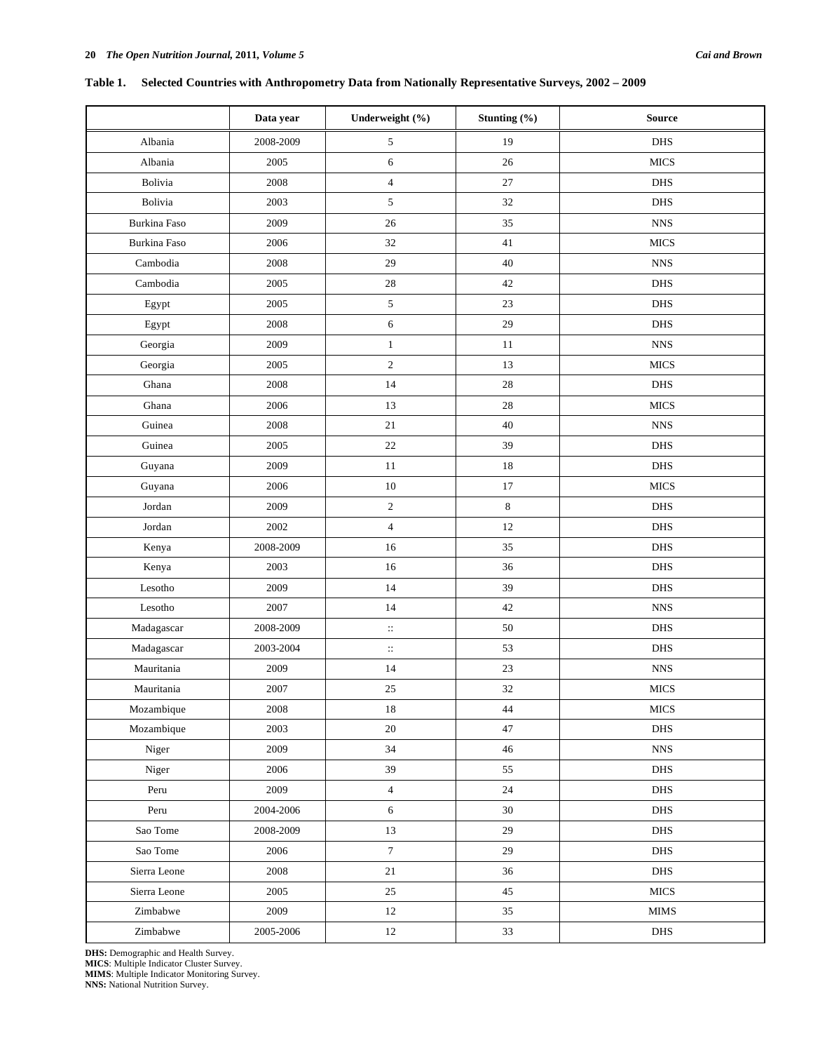# **Data year** Underweight (%) Stunting (%) Source Albania 19 2008-2009 5 19 19 DHS Albania 2005 6 26 MICS Bolivia 2008 4 27 DHS Bolivia 1 2003 5 32 DHS Burkina Faso 2009 26 26 35 NNS Burkina Faso 2006 2006 32 41 MICS Cambodia | 2008 | 29 | 40 | NNS Cambodia | 2005 | 28 | 42 | DHS Egypt  $2005$   $5$   $23$  DHS Egypt  $2008$  6  $29$  DHS Georgia | 2009 | 1 1 | 11 | NNS Georgia 13 MICS 2 13 MICS Ghana | 2008 | 14 | 28 | DHS Ghana 1 2006 13 28 MICS Guinea 12008 21 40 WNS Guinea 1 2005 22 39 DHS Guyana | 2009 | 11 | 18 | DHS

**Table 1. Selected Countries with Anthropometry Data from Nationally Representative Surveys, 2002 – 2009** 

| Cambodia                  | 2005      | 28                  | 42          | <b>DHS</b>    |
|---------------------------|-----------|---------------------|-------------|---------------|
| Egypt                     | 2005      | $\sqrt{5}$          | 23          | DHS           |
| Egypt                     | 2008      | $\sqrt{6}$          | 29          | <b>DHS</b>    |
| Georgia                   | 2009      | $\,1\,$             | 11          | ${\rm NNS}$   |
| Georgia                   | 2005      | $\sqrt{2}$          | 13          | $_{\rm MICS}$ |
| Ghana                     | 2008      | 14                  | $28\,$      | DHS           |
| Ghana                     | 2006      | 13                  | $28\,$      | <b>MICS</b>   |
| Guinea                    | $2008\,$  | $21\,$              | 40          | ${\rm NNS}$   |
| Guinea                    | 2005      | $22\,$              | 39          | DHS           |
| Guyana                    | 2009      | 11                  | $18\,$      | <b>DHS</b>    |
| Guyana                    | 2006      | 10                  | 17          | <b>MICS</b>   |
| Jordan                    | 2009      | $\sqrt{2}$          | $\,$ 8 $\,$ | <b>DHS</b>    |
| Jordan                    | 2002      | $\overline{4}$      | $12\,$      | <b>DHS</b>    |
| Kenya                     | 2008-2009 | 16                  | 35          | <b>DHS</b>    |
| Kenya                     | 2003      | 16                  | 36          | DHS           |
| Lesotho                   | 2009      | 14                  | 39          | DHS           |
| Lesotho                   | 2007      | 14                  | 42          | ${\rm NNS}$   |
| Madagascar                | 2008-2009 | $\ddot{\mathbb{H}}$ | $50\,$      | <b>DHS</b>    |
| Madagascar                | 2003-2004 | $\vdots$            | 53          | DHS           |
| Mauritania                | 2009      | 14                  | 23          | <b>NNS</b>    |
| Mauritania                | 2007      | 25                  | 32          | <b>MICS</b>   |
| Mozambique                | $2008\,$  | $18\,$              | 44          | $_{\rm MICS}$ |
| Mozambique                | 2003      | $20\,$              | 47          | DHS           |
| Niger                     | 2009      | 34                  | $46\,$      | <b>NNS</b>    |
| Niger                     | 2006      | 39                  | 55          | <b>DHS</b>    |
| Peru                      | 2009      | $\overline{4}$      | 24          | <b>DHS</b>    |
| Peru                      | 2004-2006 | $\sqrt{6}$          | 30          | <b>DHS</b>    |
| Sao Tome                  | 2008-2009 | 13                  | 29          | <b>DHS</b>    |
| Sao Tome                  | 2006      | $\boldsymbol{7}$    | 29          | DHS           |
| Sierra Leone              | 2008      | 21                  | 36          | DHS           |
| Sierra Leone              | 2005      | $25\,$              | $45\,$      | <b>MICS</b>   |
| Zimbabwe                  | 2009      | 12                  | 35          | <b>MIMS</b>   |
| Zimbabwe                  | 2005-2006 | 12                  | 33          | DHS           |
| DID D<br>$1.77 - 1.1 - C$ |           |                     |             |               |

**DHS:** Demographic and Health Survey. **MICS**: Multiple Indicator Cluster Survey. **MIMS**: Multiple Indicator Monitoring Survey. **NNS:** National Nutrition Survey.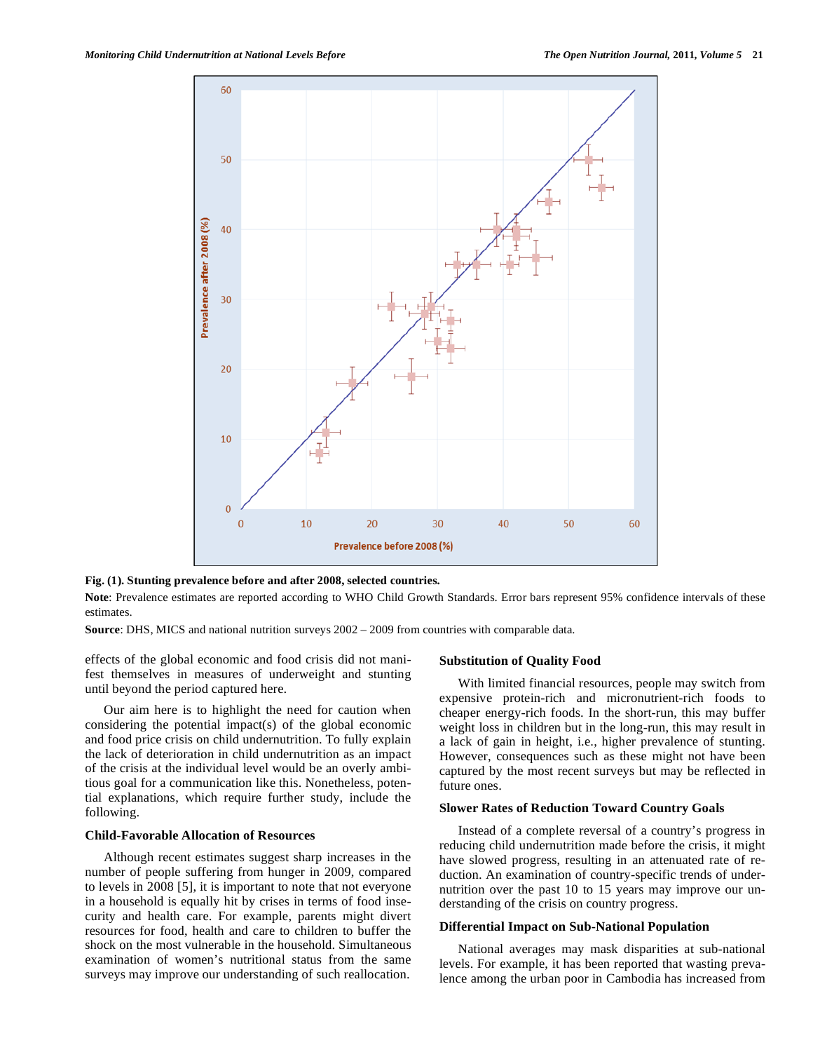

**Fig. (1). Stunting prevalence before and after 2008, selected countries.** 

Note: Prevalence estimates are reported according to WHO Child Growth Standards. Error bars represent 95% confidence intervals of these estimates.

**Source**: DHS, MICS and national nutrition surveys 2002 – 2009 from countries with comparable data.

effects of the global economic and food crisis did not manifest themselves in measures of underweight and stunting until beyond the period captured here.

 Our aim here is to highlight the need for caution when considering the potential impact(s) of the global economic and food price crisis on child undernutrition. To fully explain the lack of deterioration in child undernutrition as an impact of the crisis at the individual level would be an overly ambitious goal for a communication like this. Nonetheless, potential explanations, which require further study, include the following.

### **Child-Favorable Allocation of Resources**

 Although recent estimates suggest sharp increases in the number of people suffering from hunger in 2009, compared to levels in 2008 [5], it is important to note that not everyone in a household is equally hit by crises in terms of food insecurity and health care. For example, parents might divert resources for food, health and care to children to buffer the shock on the most vulnerable in the household. Simultaneous examination of women's nutritional status from the same surveys may improve our understanding of such reallocation.

#### **Substitution of Quality Food**

 With limited financial resources, people may switch from expensive protein-rich and micronutrient-rich foods to cheaper energy-rich foods. In the short-run, this may buffer weight loss in children but in the long-run, this may result in a lack of gain in height, i.e., higher prevalence of stunting. However, consequences such as these might not have been captured by the most recent surveys but may be reflected in future ones.

## **Slower Rates of Reduction Toward Country Goals**

 Instead of a complete reversal of a country's progress in reducing child undernutrition made before the crisis, it might have slowed progress, resulting in an attenuated rate of reduction. An examination of country-specific trends of undernutrition over the past 10 to 15 years may improve our understanding of the crisis on country progress.

#### **Differential Impact on Sub-National Population**

 National averages may mask disparities at sub-national levels. For example, it has been reported that wasting prevalence among the urban poor in Cambodia has increased from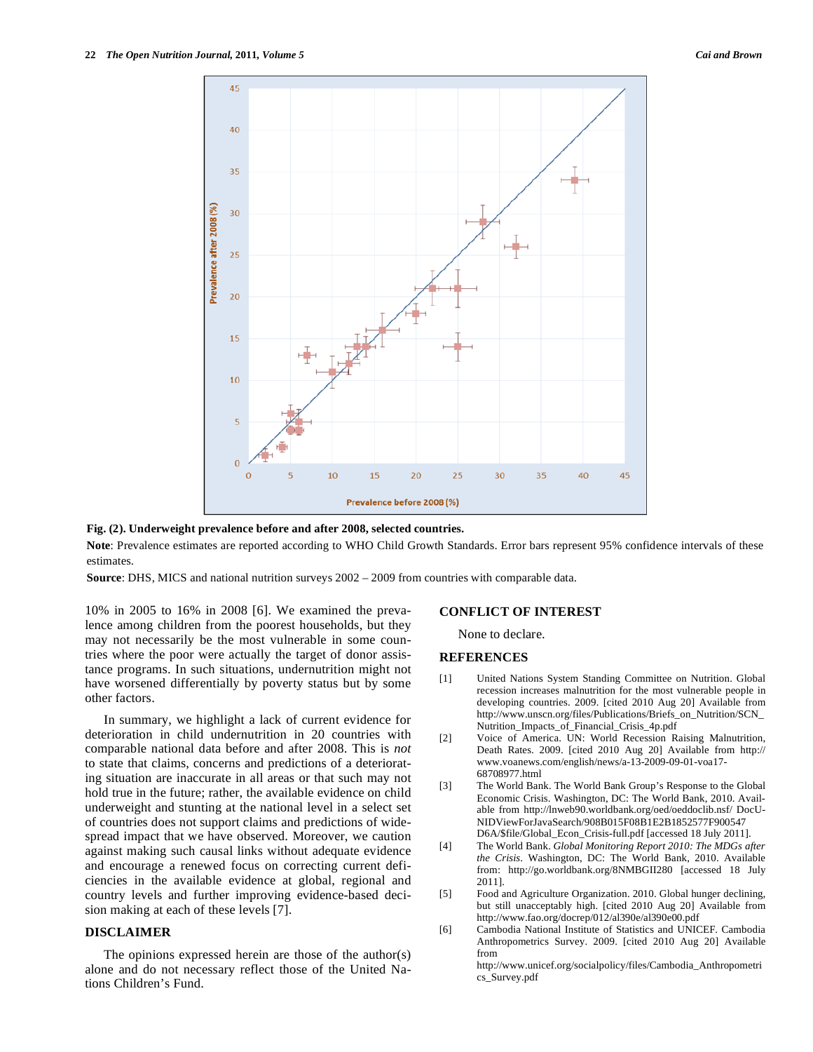

#### **Fig. (2). Underweight prevalence before and after 2008, selected countries.**

Note: Prevalence estimates are reported according to WHO Child Growth Standards. Error bars represent 95% confidence intervals of these estimates.

**Source**: DHS, MICS and national nutrition surveys 2002 – 2009 from countries with comparable data.

10% in 2005 to 16% in 2008 [6]. We examined the prevalence among children from the poorest households, but they may not necessarily be the most vulnerable in some countries where the poor were actually the target of donor assistance programs. In such situations, undernutrition might not have worsened differentially by poverty status but by some other factors.

 In summary, we highlight a lack of current evidence for deterioration in child undernutrition in 20 countries with comparable national data before and after 2008. This is *not* to state that claims, concerns and predictions of a deteriorating situation are inaccurate in all areas or that such may not hold true in the future; rather, the available evidence on child underweight and stunting at the national level in a select set of countries does not support claims and predictions of widespread impact that we have observed. Moreover, we caution against making such causal links without adequate evidence and encourage a renewed focus on correcting current deficiencies in the available evidence at global, regional and country levels and further improving evidence-based decision making at each of these levels [7].

#### **DISCLAIMER**

 The opinions expressed herein are those of the author(s) alone and do not necessary reflect those of the United Nations Children's Fund.

#### **CONFLICT OF INTEREST**

None to declare.

## **REFERENCES**

- [1] United Nations System Standing Committee on Nutrition. Global recession increases malnutrition for the most vulnerable people in developing countries. 2009. [cited 2010 Aug 20] Available from http://www.unscn.org/files/Publications/Briefs\_on\_Nutrition/SCN\_ Nutrition\_Impacts\_of\_Financial\_Crisis\_4p.pdf
- [2] Voice of America. UN: World Recession Raising Malnutrition, Death Rates. 2009. [cited 2010 Aug 20] Available from http:// www.voanews.com/english/news/a-13-2009-09-01-voa17- 68708977.html
- [3] The World Bank. The World Bank Group's Response to the Global Economic Crisis. Washington, DC: The World Bank, 2010. Available from http://lnweb90.worldbank.org/oed/oeddoclib.nsf/ DocU-NIDViewForJavaSearch/908B015F08B1E2B1852577F900547 D6A/\$file/Global\_Econ\_Crisis-full.pdf [accessed 18 July 2011].
- [4] The World Bank. *Global Monitoring Report 2010: The MDGs after the Crisis*. Washington, DC: The World Bank, 2010. Available from: http://go.worldbank.org/8NMBGII280 [accessed 18 July 2011].
- [5] Food and Agriculture Organization. 2010. Global hunger declining, but still unacceptably high. [cited 2010 Aug 20] Available from http://www.fao.org/docrep/012/al390e/al390e00.pdf
- [6] Cambodia National Institute of Statistics and UNICEF. Cambodia Anthropometrics Survey. 2009. [cited 2010 Aug 20] Available from

http://www.unicef.org/socialpolicy/files/Cambodia\_Anthropometri cs\_Survey.pdf